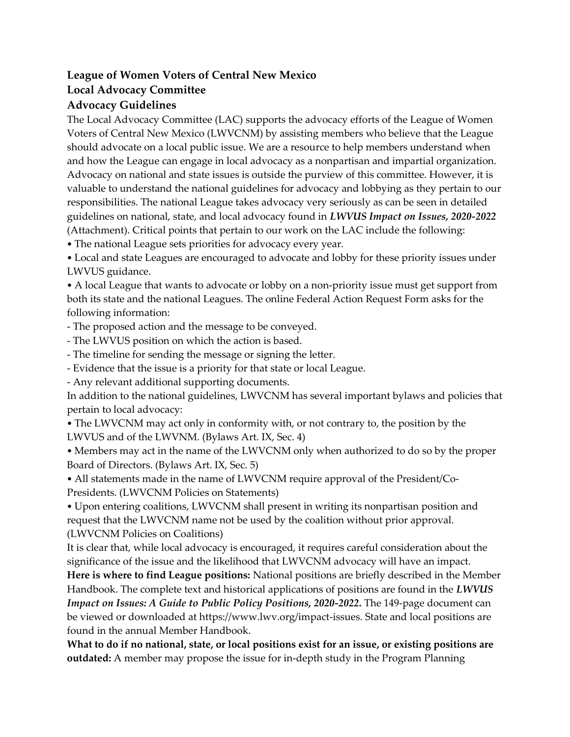## **League of Women Voters of Central New Mexico**

## **Local Advocacy Committee**

## **Advocacy Guidelines**

The Local Advocacy Committee (LAC) supports the advocacy efforts of the League of Women Voters of Central New Mexico (LWVCNM) by assisting members who believe that the League should advocate on a local public issue. We are a resource to help members understand when and how the League can engage in local advocacy as a nonpartisan and impartial organization. Advocacy on national and state issues is outside the purview of this committee. However, it is valuable to understand the national guidelines for advocacy and lobbying as they pertain to our responsibilities. The national League takes advocacy very seriously as can be seen in detailed guidelines on national, state, and local advocacy found in *LWVUS Impact on Issues, 2020-2022*  (Attachment). Critical points that pertain to our work on the LAC include the following: • The national League sets priorities for advocacy every year.

• Local and state Leagues are encouraged to advocate and lobby for these priority issues under LWVUS guidance.

• A local League that wants to advocate or lobby on a non-priority issue must get support from both its state and the national Leagues. The online Federal Action Request Form asks for the following information:

- The proposed action and the message to be conveyed.

- The LWVUS position on which the action is based.

- The timeline for sending the message or signing the letter.

- Evidence that the issue is a priority for that state or local League.

- Any relevant additional supporting documents.

In addition to the national guidelines, LWVCNM has several important bylaws and policies that pertain to local advocacy:

• The LWVCNM may act only in conformity with, or not contrary to, the position by the LWVUS and of the LWVNM. (Bylaws Art. IX, Sec. 4)

• Members may act in the name of the LWVCNM only when authorized to do so by the proper Board of Directors. (Bylaws Art. IX, Sec. 5)

• All statements made in the name of LWVCNM require approval of the President/Co-Presidents. (LWVCNM Policies on Statements)

• Upon entering coalitions, LWVCNM shall present in writing its nonpartisan position and request that the LWVCNM name not be used by the coalition without prior approval. (LWVCNM Policies on Coalitions)

It is clear that, while local advocacy is encouraged, it requires careful consideration about the significance of the issue and the likelihood that LWVCNM advocacy will have an impact.

**Here is where to find League positions:** National positions are briefly described in the Member Handbook. The complete text and historical applications of positions are found in the *LWVUS Impact on Issues: A Guide to Public Policy Positions, 2020-2022***.** The 149-page document can be viewed or downloaded at https://www.lwv.org/impact-issues. State and local positions are found in the annual Member Handbook.

**What to do if no national, state, or local positions exist for an issue, or existing positions are outdated:** A member may propose the issue for in-depth study in the Program Planning